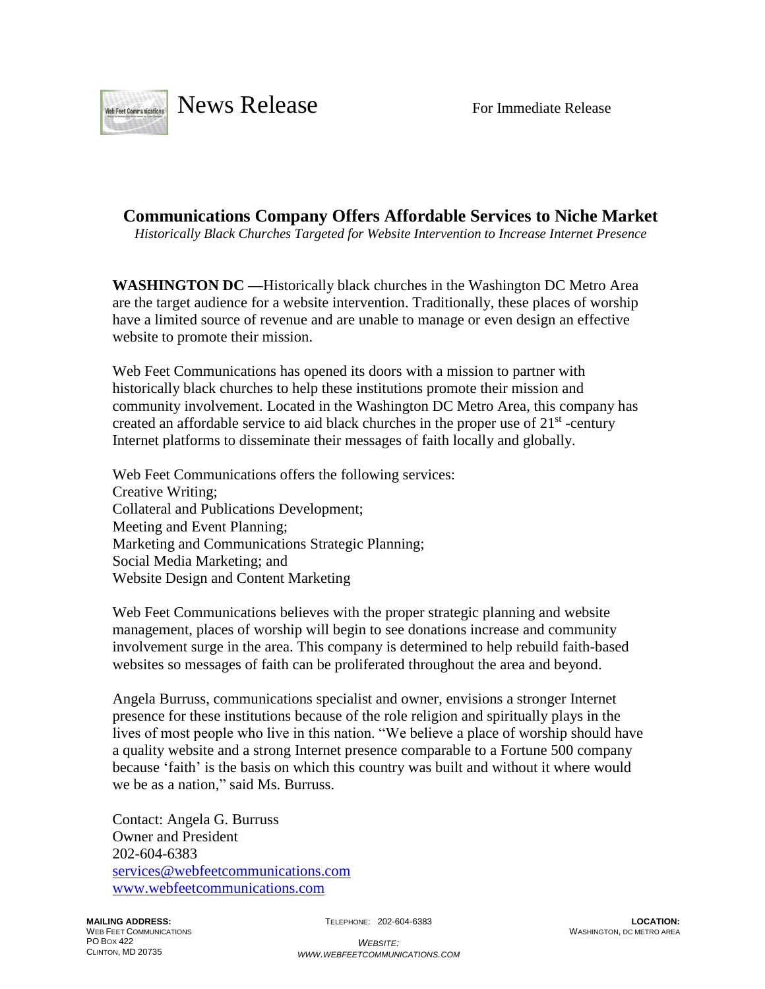

**Communications Company Offers Affordable Services to Niche Market** *Historically Black Churches Targeted for Website Intervention to Increase Internet Presence*

**WASHINGTON DC ––**Historically black churches in the Washington DC Metro Area are the target audience for a website intervention. Traditionally, these places of worship have a limited source of revenue and are unable to manage or even design an effective website to promote their mission.

Web Feet Communications has opened its doors with a mission to partner with historically black churches to help these institutions promote their mission and community involvement. Located in the Washington DC Metro Area, this company has created an affordable service to aid black churches in the proper use of  $21<sup>st</sup>$ -century Internet platforms to disseminate their messages of faith locally and globally.

Web Feet Communications offers the following services: Creative Writing; Collateral and Publications Development; Meeting and Event Planning; Marketing and Communications Strategic Planning; Social Media Marketing; and Website Design and Content Marketing

Web Feet Communications believes with the proper strategic planning and website management, places of worship will begin to see donations increase and community involvement surge in the area. This company is determined to help rebuild faith-based websites so messages of faith can be proliferated throughout the area and beyond.

Angela Burruss, communications specialist and owner, envisions a stronger Internet presence for these institutions because of the role religion and spiritually plays in the lives of most people who live in this nation. "We believe a place of worship should have a quality website and a strong Internet presence comparable to a Fortune 500 company because 'faith' is the basis on which this country was built and without it where would we be as a nation," said Ms. Burruss.

Contact: Angela G. Burruss Owner and President 202-604-6383 [services@webfeetcommunications.com](mailto:services@webfeetcommunications.com) [www.webfeetcommunications.com](http://www.webfeetcommunications.com/)